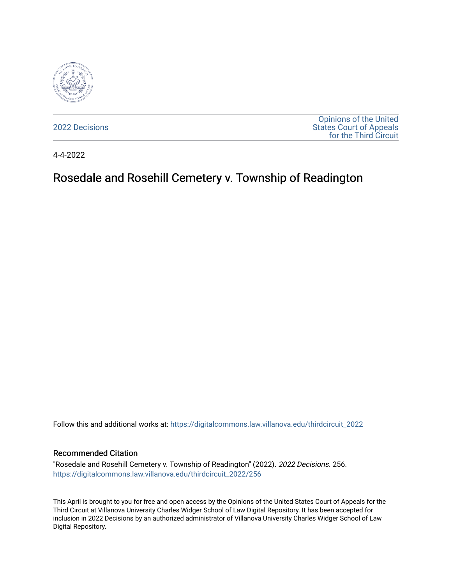

[2022 Decisions](https://digitalcommons.law.villanova.edu/thirdcircuit_2022)

[Opinions of the United](https://digitalcommons.law.villanova.edu/thirdcircuit)  [States Court of Appeals](https://digitalcommons.law.villanova.edu/thirdcircuit)  [for the Third Circuit](https://digitalcommons.law.villanova.edu/thirdcircuit) 

4-4-2022

# Rosedale and Rosehill Cemetery v. Township of Readington

Follow this and additional works at: [https://digitalcommons.law.villanova.edu/thirdcircuit\\_2022](https://digitalcommons.law.villanova.edu/thirdcircuit_2022?utm_source=digitalcommons.law.villanova.edu%2Fthirdcircuit_2022%2F256&utm_medium=PDF&utm_campaign=PDFCoverPages) 

#### Recommended Citation

"Rosedale and Rosehill Cemetery v. Township of Readington" (2022). 2022 Decisions. 256. [https://digitalcommons.law.villanova.edu/thirdcircuit\\_2022/256](https://digitalcommons.law.villanova.edu/thirdcircuit_2022/256?utm_source=digitalcommons.law.villanova.edu%2Fthirdcircuit_2022%2F256&utm_medium=PDF&utm_campaign=PDFCoverPages)

This April is brought to you for free and open access by the Opinions of the United States Court of Appeals for the Third Circuit at Villanova University Charles Widger School of Law Digital Repository. It has been accepted for inclusion in 2022 Decisions by an authorized administrator of Villanova University Charles Widger School of Law Digital Repository.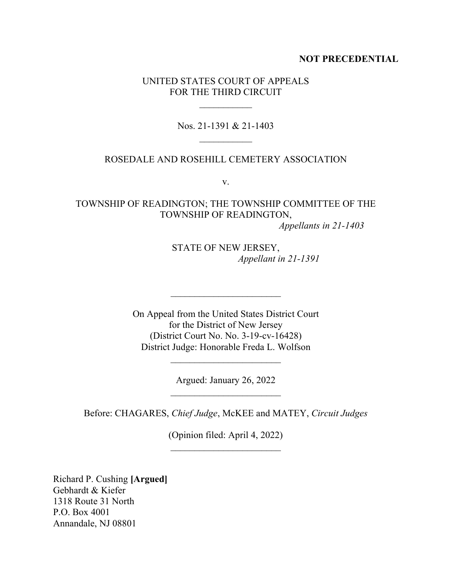#### **NOT PRECEDENTIAL**

#### UNITED STATES COURT OF APPEALS FOR THE THIRD CIRCUIT

 $\frac{1}{2}$ 

Nos. 21-1391 & 21-1403  $\frac{1}{2}$ 

#### ROSEDALE AND ROSEHILL CEMETERY ASSOCIATION

v.

## TOWNSHIP OF READINGTON; THE TOWNSHIP COMMITTEE OF THE TOWNSHIP OF READINGTON,

*Appellants in 21-1403*

STATE OF NEW JERSEY, *Appellant in 21-1391*

On Appeal from the United States District Court for the District of New Jersey (District Court No. No. 3-19-cv-16428) District Judge: Honorable Freda L. Wolfson

 $\overline{\phantom{a}}$  , where  $\overline{\phantom{a}}$ 

Argued: January 26, 2022  $\overline{\phantom{a}}$  , where  $\overline{\phantom{a}}$  , where  $\overline{\phantom{a}}$  , where  $\overline{\phantom{a}}$  , where  $\overline{\phantom{a}}$ 

 $\mathcal{L}=\{1,2,3,4,5\}$ 

Before: CHAGARES, *Chief Judge*, McKEE and MATEY, *Circuit Judges*

(Opinion filed: April 4, 2022)  $\frac{1}{2}$  ,  $\frac{1}{2}$  ,  $\frac{1}{2}$  ,  $\frac{1}{2}$  ,  $\frac{1}{2}$  ,  $\frac{1}{2}$  ,  $\frac{1}{2}$  ,  $\frac{1}{2}$  ,  $\frac{1}{2}$  ,  $\frac{1}{2}$  ,  $\frac{1}{2}$  ,  $\frac{1}{2}$  ,  $\frac{1}{2}$  ,  $\frac{1}{2}$  ,  $\frac{1}{2}$  ,  $\frac{1}{2}$  ,  $\frac{1}{2}$  ,  $\frac{1}{2}$  ,  $\frac{1$ 

Richard P. Cushing **[Argued]** Gebhardt & Kiefer 1318 Route 31 North P.O. Box 4001 Annandale, NJ 08801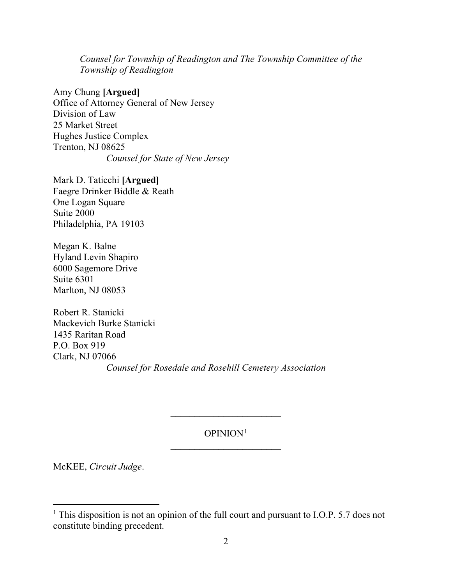*Counsel for Township of Readington and The Township Committee of the Township of Readington* 

Amy Chung **[Argued]** Office of Attorney General of New Jersey Division of Law 25 Market Street Hughes Justice Complex Trenton, NJ 08625 *Counsel for State of New Jersey* 

Mark D. Taticchi **[Argued]** Faegre Drinker Biddle & Reath One Logan Square Suite 2000 Philadelphia, PA 19103

Megan K. Balne Hyland Levin Shapiro 6000 Sagemore Drive Suite 6301 Marlton, NJ 08053

Robert R. Stanicki Mackevich Burke Stanicki 1435 Raritan Road P.O. Box 919 Clark, NJ 07066 *Counsel for Rosedale and Rosehill Cemetery Association*

### OPINION1  $\frac{1}{2}$  ,  $\frac{1}{2}$  ,  $\frac{1}{2}$  ,  $\frac{1}{2}$  ,  $\frac{1}{2}$  ,  $\frac{1}{2}$  ,  $\frac{1}{2}$  ,  $\frac{1}{2}$  ,  $\frac{1}{2}$  ,  $\frac{1}{2}$  ,  $\frac{1}{2}$  ,  $\frac{1}{2}$  ,  $\frac{1}{2}$  ,  $\frac{1}{2}$  ,  $\frac{1}{2}$  ,  $\frac{1}{2}$  ,  $\frac{1}{2}$  ,  $\frac{1}{2}$  ,  $\frac{1$

*\_\_\_\_\_\_\_\_\_\_\_\_\_\_\_\_\_\_\_\_\_\_\_*

McKEE, *Circuit Judge*.

<sup>&</sup>lt;sup>1</sup> This disposition is not an opinion of the full court and pursuant to I.O.P. 5.7 does not constitute binding precedent.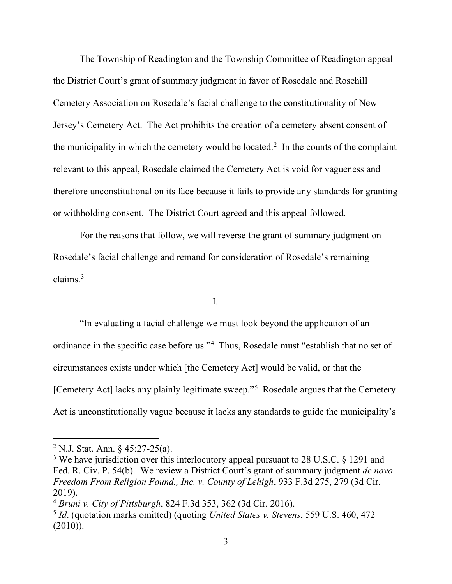The Township of Readington and the Township Committee of Readington appeal the District Court's grant of summary judgment in favor of Rosedale and Rosehill Cemetery Association on Rosedale's facial challenge to the constitutionality of New Jersey's Cemetery Act. The Act prohibits the creation of a cemetery absent consent of the municipality in which the cemetery would be located.<sup>2</sup> In the counts of the complaint relevant to this appeal, Rosedale claimed the Cemetery Act is void for vagueness and therefore unconstitutional on its face because it fails to provide any standards for granting or withholding consent. The District Court agreed and this appeal followed.

For the reasons that follow, we will reverse the grant of summary judgment on Rosedale's facial challenge and remand for consideration of Rosedale's remaining claims. $3$ 

I.

"In evaluating a facial challenge we must look beyond the application of an ordinance in the specific case before us."4 Thus, Rosedale must "establish that no set of circumstances exists under which [the Cemetery Act] would be valid, or that the [Cemetery Act] lacks any plainly legitimate sweep."5 Rosedale argues that the Cemetery Act is unconstitutionally vague because it lacks any standards to guide the municipality's

<sup>&</sup>lt;sup>2</sup> N.J. Stat. Ann.  $\frac{6}{9}$  45:27-25(a).

 $3$  We have jurisdiction over this interlocutory appeal pursuant to 28 U.S.C. § 1291 and Fed. R. Civ. P. 54(b). We review a District Court's grant of summary judgment *de novo*. *Freedom From Religion Found., Inc. v. County of Lehigh*, 933 F.3d 275, 279 (3d Cir. 2019).

<sup>4</sup> *Bruni v. City of Pittsburgh*, 824 F.3d 353, 362 (3d Cir. 2016).

<sup>5</sup> *Id*. (quotation marks omitted) (quoting *United States v. Stevens*, 559 U.S. 460, 472  $(2010)$ ).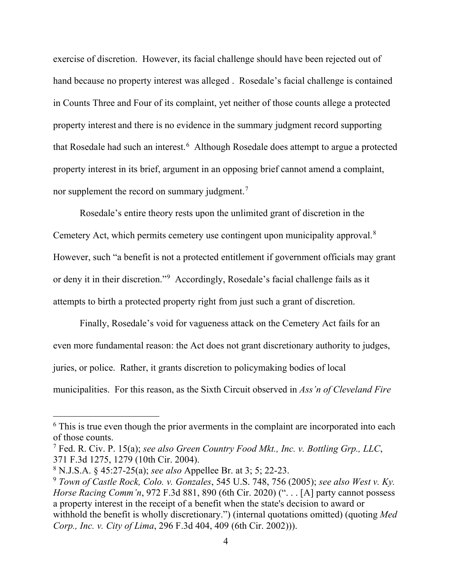exercise of discretion. However, its facial challenge should have been rejected out of hand because no property interest was alleged . Rosedale's facial challenge is contained in Counts Three and Four of its complaint, yet neither of those counts allege a protected property interest and there is no evidence in the summary judgment record supporting that Rosedale had such an interest. 6 Although Rosedale does attempt to argue a protected property interest in its brief, argument in an opposing brief cannot amend a complaint, nor supplement the record on summary judgment.<sup>7</sup>

Rosedale's entire theory rests upon the unlimited grant of discretion in the Cemetery Act, which permits cemetery use contingent upon municipality approval.<sup>8</sup> However, such "a benefit is not a protected entitlement if government officials may grant or deny it in their discretion."<sup>9</sup> Accordingly, Rosedale's facial challenge fails as it attempts to birth a protected property right from just such a grant of discretion.

Finally, Rosedale's void for vagueness attack on the Cemetery Act fails for an even more fundamental reason: the Act does not grant discretionary authority to judges, juries, or police. Rather, it grants discretion to policymaking bodies of local municipalities. For this reason, as the Sixth Circuit observed in *Ass'n of Cleveland Fire* 

<sup>&</sup>lt;sup>6</sup> This is true even though the prior averments in the complaint are incorporated into each of those counts.

<sup>7</sup> Fed. R. Civ. P. 15(a); *see also Green Country Food Mkt., Inc. v. Bottling Grp., LLC*, 371 F.3d 1275, 1279 (10th Cir. 2004).

<sup>8</sup> N.J.S.A. § 45:27-25(a); *see also* Appellee Br. at 3; 5; 22-23.

<sup>9</sup> *Town of Castle Rock, Colo. v. Gonzales*, 545 U.S. 748, 756 (2005); *see also West v. Ky. Horse Racing Comm'n*, 972 F.3d 881, 890 (6th Cir. 2020) ("... [A] party cannot possess a property interest in the receipt of a benefit when the state's decision to award or withhold the benefit is wholly discretionary.") (internal quotations omitted) (quoting *Med Corp., Inc. v. City of Lima*, 296 F.3d 404, 409 (6th Cir. 2002))).